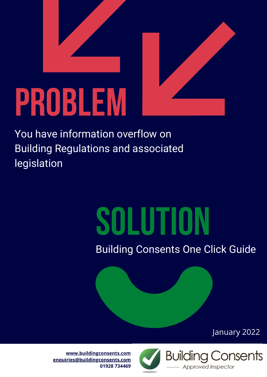

You have information overflow on Building Regulations and associated legislation

# SOLUTION

Building Consents One Click Guide

January 2022



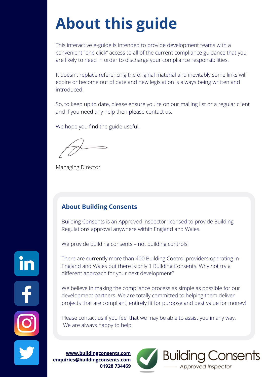## **About this guide**

This interactive e-guide is intended to provide development teams with a convenient "one click" access to all of the current compliance guidance that you are likely to need in order to discharge your compliance responsibilities.

It doesn't replace referencing the original material and inevitably some links will expire or become out of date and new legislation is always being written and introduced.

So, to keep up to date, please ensure you're on our mailing list or a regular client and if you need any help then please contact us.

We hope you find the guide useful.

Managing Director

#### **About Building Consents**

Building Consents is an Approved Inspector licensed to provide Building Regulations approval anywhere within England and Wales.

We provide building consents – not building controls!

There are currently more than 400 Building Control providers operating in England and Wales but there is only 1 Building Consents. Why not try a different approach for your next development?

We believe in making the compliance process as simple as possible for our development partners. We are totally committed to helping them deliver projects that are compliant, entirely fit for purpose and best value for money!

Please contact us if you feel that we may be able to assist you in any way. We are always happy to help.

**[www.buildingconsents.com](http://www.buildingconsents.com/) [enquiries@buildingconsents.com](mailto:enquiries@buildingconsents.com) 01928 734469**



Building Consents

Approved Inspector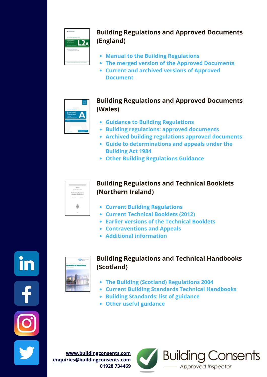

#### **Building Regulations and Approved Documents (England)**

- **Manual to the Building [Regulations](https://assets.publishing.service.gov.uk/government/uploads/system/uploads/attachment_data/file/901517/Manual_to_building_regs_-_July_2020.pdf)**
- **The merged version of the Approved [Documents](https://assets.publishing.service.gov.uk/government/uploads/system/uploads/attachment_data/file/1010058/Single_stitched_together_pdf_of_all_ADs__Jul21_.pdf)**
- **Current and archived versions of Approved [Document](https://www.gov.uk/government/collections/approved-documents#building-regulations-and-approved-documents-index)**



#### **Building Regulations and Approved Documents (Wales)**

- **Guidance to Building [Regulations](https://gov.wales/guide-building-regulations)**
- **Building [regulations:](https://gov.wales/building-regulations-approved-documents) approved documents**
- **Archived building [regulations](https://gov.wales/archived-building-regulations-approved-documents) approved documents**
- **Guide to [determinations](https://gov.wales/sites/default/files/publications/2019-07/guide-to-determinations-and-appeals-under-the-building-act-1984.pdf) and appeals under the Building Act 1984**
- **Other Building [Regulations](https://gov.wales/building-regulations) Guidance**



#### **Building Regulations and Technical Booklets (Northern Ireland)**

- **Current Building [Regulations](http://www.buildingcontrol-ni.com/assets/pdf/building-regulations-ni-2012.pdf)**
- **Current [Technical](http://www.buildingcontrol-ni.com/regulations/technical-booklets) Booklets (2012)**
- **Earlier versions of the [Technical](http://www.buildingcontrol-ni.com/regulations/historical-booklets) Booklets**
- **[Contraventions](http://www.buildingcontrol-ni.com/regulations/contraventions-and-appeals) and Appeals**
- **Additional [information](http://www.buildingcontrol-ni.com/)**



#### **Building Regulations and Technical Handbooks (Scotland)**

- **The Building (Scotland) [Regulations](https://www.legislation.gov.uk/ssi/2004/406/contents/made) 2004**
- **Current Building Standards Technical [Handbooks](https://www.gov.scot/policies/building-standards/monitoring-improving-building-regulations/)**
- **Building [Standards:](https://www.gov.scot/publications/building-standards-list-of-guidance/pages/key-supporting-technical-guidance/) list of guidance**
- **Other useful [guidance](https://www.gov.scot/policies/building-standards/monitoring-improving-building-regulations/)**

**[www.buildingconsents.com](http://www.buildingconsents.com/) [enquiries@buildingconsents.com](mailto:enquiries@buildingconsents.com) 01928 734469**



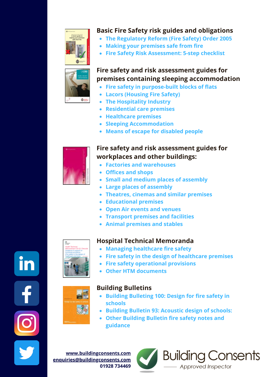

#### **Basic Fire Safety risk guides and obligations**

- **[The Regulatory Reform \(Fire Safety\) Order 2005](https://www.legislation.gov.uk/uksi/2005/1541/contents/made)**
- **[Making your premises safe from fire](https://assets.publishing.service.gov.uk/government/uploads/system/uploads/attachment_data/file/14879/making-your-premises-safe-short-guide.pdf)**
- **[Fire Safety Risk Assessment: 5-step checklist](https://assets.publishing.service.gov.uk/government/uploads/system/uploads/attachment_data/file/14899/fsra-5-step-checklist.pdf)**



#### **Fire safety and risk assessment guides for premises containing sleeping accommodation**

- **[Fire safety in purpose-built blocks of flats](https://assets.publishing.service.gov.uk/government/uploads/system/uploads/attachment_data/file/1020410/Fire_Safety_in_Purpose_Built_Blocks_of_Flats_Guide.pdf)**
- **[Lacors \(Housing Fire Safety\)](https://www.cieh.org/media/1244/guidance-on-fire-safety-provisions-for-certain-types-of-existing-housing.pdf)**
- **[The Hospitality Industry](https://assets.publishing.service.gov.uk/government/uploads/system/uploads/attachment_data/file/11085/payingguests.pdf)**
- **[Residential care premises](https://assets.publishing.service.gov.uk/government/uploads/system/uploads/attachment_data/file/14885/fsra-residential-care.pdf)**
- **[Healthcare premises](https://assets.publishing.service.gov.uk/government/uploads/system/uploads/attachment_data/file/14892/fsra-healthcare.pdf)**
- **[Sleeping Accommodation](https://assets.publishing.service.gov.uk/government/uploads/system/uploads/attachment_data/file/422192/9281_Sleeping_Accomodation_v2.pdf)**
- **[Means of escape for disabled people](https://www.gov.uk/government/publications/fire-safety-risk-assessment-means-of-escape-for-disabled-people)**



#### **Fire safety and risk assessment guides for workplaces and other buildings:**

- **[Factories and warehouses](https://assets.publishing.service.gov.uk/government/uploads/system/uploads/attachment_data/file/14882/fsra-factories-warehouses.pdf)**
- **[Offices and shops](https://assets.publishing.service.gov.uk/government/uploads/system/uploads/attachment_data/file/422175/9449_Offices_and_Shops_v2.pdf)**
- **[Small and medium places of assembly](https://assets.publishing.service.gov.uk/government/uploads/system/uploads/attachment_data/file/973794/9294_Small_Mediumt_v2.pdf)**
- **[Large places of assembly](https://assets.publishing.service.gov.uk/government/uploads/system/uploads/attachment_data/file/14889/fsra-large-assembly.pdf)**
- **[Theatres, cinemas and similar premises](https://assets.publishing.service.gov.uk/government/uploads/system/uploads/attachment_data/file/14890/fsra-theatre-cinema.pdf)**
- **[Educational premises](https://assets.publishing.service.gov.uk/government/uploads/system/uploads/attachment_data/file/14887/fsra-educational-premises.pdf)**
- **[Open Air events and venues](https://assets.publishing.service.gov.uk/government/uploads/system/uploads/attachment_data/file/14891/fsra-open-air.pdf)**
- **[Transport premises and facilities](https://assets.publishing.service.gov.uk/government/uploads/system/uploads/attachment_data/file/14894/fsra-transport.pdf)**
- **[Animal premises and stables](https://assets.publishing.service.gov.uk/government/uploads/system/uploads/attachment_data/file/14895/fsra-animals.pdf)**



#### **Hospital Technical Memoranda**

- **[Managing healthcare fire safety](https://www.england.nhs.uk/wp-content/uploads/2021/05/HTM_05-01.pdf)**
- **[Fire safety in the design of healthcare premises](https://www.england.nhs.uk/wp-content/uploads/2021/05/HTM_05-02_2015.pdf)**
- **[Fire safety operational provisions](https://www.england.nhs.uk/wp-content/uploads/2021/05/HTM_05-03_Part_A_Final.pdf)**
- **[Other HTM documents](https://www.england.nhs.uk/estates/health-technical-memoranda/)**



#### **Building Bulletins**

- **[Building Bulleting 100: Design for fire safety in](https://assets.publishing.service.gov.uk/government/uploads/system/uploads/attachment_data/file/276389/buildingbulletin100_onlineversion.pdf) schools**
- **[Building Bulletin 93: Acoustic design of schools:](https://assets.publishing.service.gov.uk/government/uploads/system/uploads/attachment_data/file/400784/BB93_February_2015.pdf)**

**Building Consents** 

Approved Inspector

**[Other Building Bulletin fire safety notes and](https://www.gov.uk/government/publications/building-bulletin-100-design-for-fire-safety-in-schools) guidance**

**[www.buildingconsents.com](http://www.buildingconsents.com/) [enquiries@buildingconsents.com](mailto:enquiries@buildingconsents.com) 01928 734469**